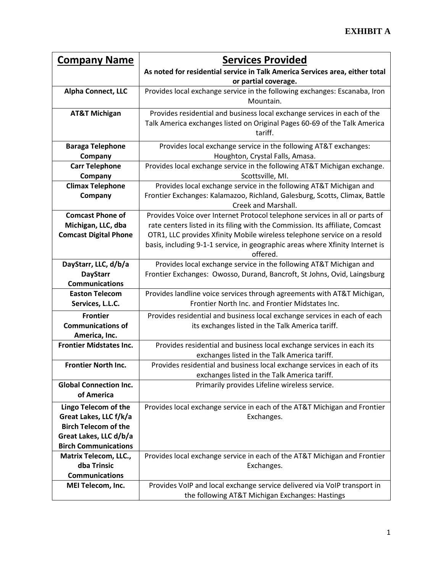| <b>Company Name</b>                                                                                                                    | <b>Services Provided</b>                                                                                                                                                                                                                                                                                                              |
|----------------------------------------------------------------------------------------------------------------------------------------|---------------------------------------------------------------------------------------------------------------------------------------------------------------------------------------------------------------------------------------------------------------------------------------------------------------------------------------|
|                                                                                                                                        | As noted for residential service in Talk America Services area, either total                                                                                                                                                                                                                                                          |
|                                                                                                                                        | or partial coverage.                                                                                                                                                                                                                                                                                                                  |
| Alpha Connect, LLC                                                                                                                     | Provides local exchange service in the following exchanges: Escanaba, Iron<br>Mountain.                                                                                                                                                                                                                                               |
| <b>AT&amp;T Michigan</b>                                                                                                               | Provides residential and business local exchange services in each of the<br>Talk America exchanges listed on Original Pages 60-69 of the Talk America<br>tariff.                                                                                                                                                                      |
| <b>Baraga Telephone</b><br>Company                                                                                                     | Provides local exchange service in the following AT&T exchanges:<br>Houghton, Crystal Falls, Amasa.                                                                                                                                                                                                                                   |
| <b>Carr Telephone</b><br>Company                                                                                                       | Provides local exchange service in the following AT&T Michigan exchange.<br>Scottsville, MI.                                                                                                                                                                                                                                          |
| <b>Climax Telephone</b><br>Company                                                                                                     | Provides local exchange service in the following AT&T Michigan and<br>Frontier Exchanges: Kalamazoo, Richland, Galesburg, Scotts, Climax, Battle<br>Creek and Marshall.                                                                                                                                                               |
| <b>Comcast Phone of</b><br>Michigan, LLC, dba<br><b>Comcast Digital Phone</b>                                                          | Provides Voice over Internet Protocol telephone services in all or parts of<br>rate centers listed in its filing with the Commission. Its affiliate, Comcast<br>OTR1, LLC provides Xfinity Mobile wireless telephone service on a resold<br>basis, including 9-1-1 service, in geographic areas where Xfinity Internet is<br>offered. |
| DayStarr, LLC, d/b/a<br><b>DayStarr</b><br><b>Communications</b>                                                                       | Provides local exchange service in the following AT&T Michigan and<br>Frontier Exchanges: Owosso, Durand, Bancroft, St Johns, Ovid, Laingsburg                                                                                                                                                                                        |
| <b>Easton Telecom</b><br>Services, L.L.C.                                                                                              | Provides landline voice services through agreements with AT&T Michigan,<br>Frontier North Inc. and Frontier Midstates Inc.                                                                                                                                                                                                            |
| <b>Frontier</b><br><b>Communications of</b><br>America, Inc.                                                                           | Provides residential and business local exchange services in each of each<br>its exchanges listed in the Talk America tariff.                                                                                                                                                                                                         |
| <b>Frontier Midstates Inc.</b>                                                                                                         | Provides residential and business local exchange services in each its<br>exchanges listed in the Talk America tariff.                                                                                                                                                                                                                 |
| <b>Frontier North Inc.</b>                                                                                                             | Provides residential and business local exchange services in each of its<br>exchanges listed in the Talk America tariff.                                                                                                                                                                                                              |
| <b>Global Connection Inc.</b><br>of America                                                                                            | Primarily provides Lifeline wireless service.                                                                                                                                                                                                                                                                                         |
| Lingo Telecom of the<br>Great Lakes, LLC f/k/a<br><b>Birch Telecom of the</b><br>Great Lakes, LLC d/b/a<br><b>Birch Communications</b> | Provides local exchange service in each of the AT&T Michigan and Frontier<br>Exchanges.                                                                                                                                                                                                                                               |
| Matrix Telecom, LLC.,<br>dba Trinsic<br><b>Communications</b>                                                                          | Provides local exchange service in each of the AT&T Michigan and Frontier<br>Exchanges.                                                                                                                                                                                                                                               |
| MEI Telecom, Inc.                                                                                                                      | Provides VoIP and local exchange service delivered via VoIP transport in<br>the following AT&T Michigan Exchanges: Hastings                                                                                                                                                                                                           |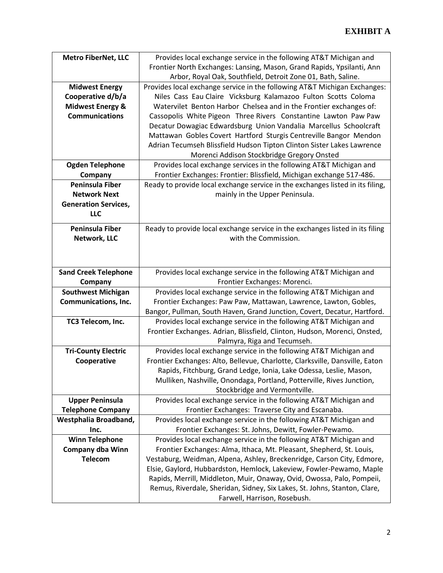| <b>Metro FiberNet, LLC</b>  | Provides local exchange service in the following AT&T Michigan and                                                                                 |
|-----------------------------|----------------------------------------------------------------------------------------------------------------------------------------------------|
|                             | Frontier North Exchanges: Lansing, Mason, Grand Rapids, Ypsilanti, Ann                                                                             |
|                             | Arbor, Royal Oak, Southfield, Detroit Zone 01, Bath, Saline.                                                                                       |
| <b>Midwest Energy</b>       | Provides local exchange service in the following AT&T Michigan Exchanges:                                                                          |
| Cooperative d/b/a           | Niles Cass Eau Claire Vicksburg Kalamazoo Fulton Scotts Coloma                                                                                     |
| <b>Midwest Energy &amp;</b> | Watervilet Benton Harbor Chelsea and in the Frontier exchanges of:                                                                                 |
| <b>Communications</b>       | Cassopolis White Pigeon Three Rivers Constantine Lawton Paw Paw                                                                                    |
|                             | Decatur Dowagiac Edwardsburg Union Vandalia Marcellus Schoolcraft                                                                                  |
|                             | Mattawan Gobles Covert Hartford Sturgis Centreville Bangor Mendon                                                                                  |
|                             | Adrian Tecumseh Blissfield Hudson Tipton Clinton Sister Lakes Lawrence                                                                             |
|                             | Morenci Addison Stockbridge Gregory Onsted                                                                                                         |
| <b>Ogden Telephone</b>      | Provides local exchange services in the following AT&T Michigan and                                                                                |
| Company                     | Frontier Exchanges: Frontier: Blissfield, Michigan exchange 517-486.                                                                               |
| <b>Peninsula Fiber</b>      | Ready to provide local exchange service in the exchanges listed in its filing,                                                                     |
| <b>Network Next</b>         | mainly in the Upper Peninsula.                                                                                                                     |
| <b>Generation Services,</b> |                                                                                                                                                    |
| LLC                         |                                                                                                                                                    |
| <b>Peninsula Fiber</b>      | Ready to provide local exchange service in the exchanges listed in its filing                                                                      |
| Network, LLC                | with the Commission.                                                                                                                               |
|                             |                                                                                                                                                    |
|                             |                                                                                                                                                    |
|                             |                                                                                                                                                    |
| <b>Sand Creek Telephone</b> | Provides local exchange service in the following AT&T Michigan and                                                                                 |
| Company                     | Frontier Exchanges: Morenci.                                                                                                                       |
| <b>Southwest Michigan</b>   | Provides local exchange service in the following AT&T Michigan and                                                                                 |
| <b>Communications, Inc.</b> | Frontier Exchanges: Paw Paw, Mattawan, Lawrence, Lawton, Gobles,                                                                                   |
|                             | Bangor, Pullman, South Haven, Grand Junction, Covert, Decatur, Hartford.                                                                           |
| TC3 Telecom, Inc.           | Provides local exchange service in the following AT&T Michigan and                                                                                 |
|                             | Frontier Exchanges. Adrian, Blissfield, Clinton, Hudson, Morenci, Onsted,                                                                          |
|                             | Palmyra, Riga and Tecumseh.                                                                                                                        |
| <b>Tri-County Electric</b>  | Provides local exchange service in the following AT&T Michigan and<br>Frontier Exchanges: Alto, Bellevue, Charlotte, Clarksville, Dansville, Eaton |
| Cooperative                 | Rapids, Fitchburg, Grand Ledge, Ionia, Lake Odessa, Leslie, Mason,                                                                                 |
|                             | Mulliken, Nashville, Onondaga, Portland, Potterville, Rives Junction,                                                                              |
|                             | Stockbridge and Vermontville.                                                                                                                      |
| <b>Upper Peninsula</b>      | Provides local exchange service in the following AT&T Michigan and                                                                                 |
| <b>Telephone Company</b>    | Frontier Exchanges: Traverse City and Escanaba.                                                                                                    |
| Westphalia Broadband,       | Provides local exchange service in the following AT&T Michigan and                                                                                 |
| Inc.                        | Frontier Exchanges: St. Johns, Dewitt, Fowler-Pewamo.                                                                                              |
| <b>Winn Telephone</b>       | Provides local exchange service in the following AT&T Michigan and                                                                                 |
| <b>Company dba Winn</b>     | Frontier Exchanges: Alma, Ithaca, Mt. Pleasant, Shepherd, St. Louis,                                                                               |
| <b>Telecom</b>              | Vestaburg, Weidman, Alpena, Ashley, Breckenridge, Carson City, Edmore,                                                                             |
|                             | Elsie, Gaylord, Hubbardston, Hemlock, Lakeview, Fowler-Pewamo, Maple                                                                               |
|                             | Rapids, Merrill, Middleton, Muir, Onaway, Ovid, Owossa, Palo, Pompeii,                                                                             |
|                             | Remus, Riverdale, Sheridan, Sidney, Six Lakes, St. Johns, Stanton, Clare,                                                                          |
|                             | Farwell, Harrison, Rosebush.                                                                                                                       |